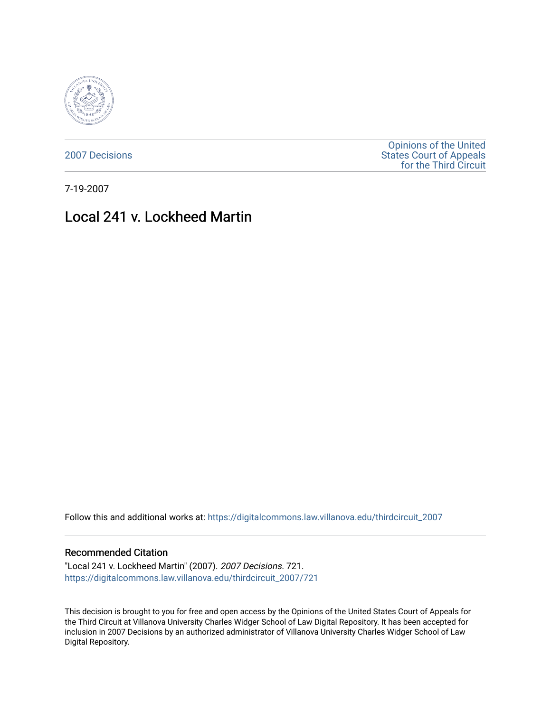

[2007 Decisions](https://digitalcommons.law.villanova.edu/thirdcircuit_2007)

[Opinions of the United](https://digitalcommons.law.villanova.edu/thirdcircuit)  [States Court of Appeals](https://digitalcommons.law.villanova.edu/thirdcircuit)  [for the Third Circuit](https://digitalcommons.law.villanova.edu/thirdcircuit) 

7-19-2007

# Local 241 v. Lockheed Martin

Follow this and additional works at: [https://digitalcommons.law.villanova.edu/thirdcircuit\\_2007](https://digitalcommons.law.villanova.edu/thirdcircuit_2007?utm_source=digitalcommons.law.villanova.edu%2Fthirdcircuit_2007%2F721&utm_medium=PDF&utm_campaign=PDFCoverPages) 

#### Recommended Citation

"Local 241 v. Lockheed Martin" (2007). 2007 Decisions. 721. [https://digitalcommons.law.villanova.edu/thirdcircuit\\_2007/721](https://digitalcommons.law.villanova.edu/thirdcircuit_2007/721?utm_source=digitalcommons.law.villanova.edu%2Fthirdcircuit_2007%2F721&utm_medium=PDF&utm_campaign=PDFCoverPages)

This decision is brought to you for free and open access by the Opinions of the United States Court of Appeals for the Third Circuit at Villanova University Charles Widger School of Law Digital Repository. It has been accepted for inclusion in 2007 Decisions by an authorized administrator of Villanova University Charles Widger School of Law Digital Repository.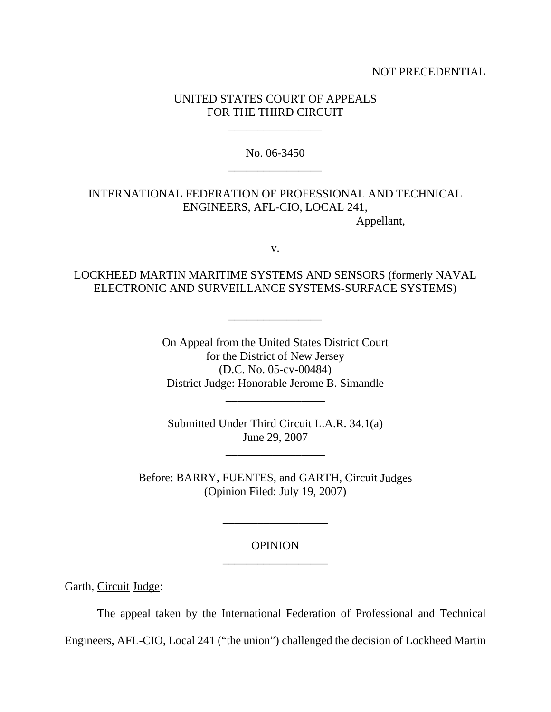### NOT PRECEDENTIAL

## UNITED STATES COURT OF APPEALS FOR THE THIRD CIRCUIT

\_\_\_\_\_\_\_\_\_\_\_\_\_\_\_\_

No. 06-3450 \_\_\_\_\_\_\_\_\_\_\_\_\_\_\_\_

# INTERNATIONAL FEDERATION OF PROFESSIONAL AND TECHNICAL ENGINEERS, AFL-CIO, LOCAL 241, Appellant,

# LOCKHEED MARTIN MARITIME SYSTEMS AND SENSORS (formerly NAVAL ELECTRONIC AND SURVEILLANCE SYSTEMS-SURFACE SYSTEMS)

\_\_\_\_\_\_\_\_\_\_\_\_\_\_\_\_

v.

On Appeal from the United States District Court for the District of New Jersey (D.C. No. 05-cv-00484) District Judge: Honorable Jerome B. Simandle

Submitted Under Third Circuit L.A.R. 34.1(a) June 29, 2007

\_\_\_\_\_\_\_\_\_\_\_\_\_\_\_\_\_

\_\_\_\_\_\_\_\_\_\_\_\_\_\_\_\_\_

Before: BARRY, FUENTES, and GARTH, Circuit Judges (Opinion Filed: July 19, 2007)

# OPINION \_\_\_\_\_\_\_\_\_\_\_\_\_\_\_\_\_\_

\_\_\_\_\_\_\_\_\_\_\_\_\_\_\_\_\_\_

Garth, Circuit Judge:

The appeal taken by the International Federation of Professional and Technical

Engineers, AFL-CIO, Local 241 ("the union") challenged the decision of Lockheed Martin